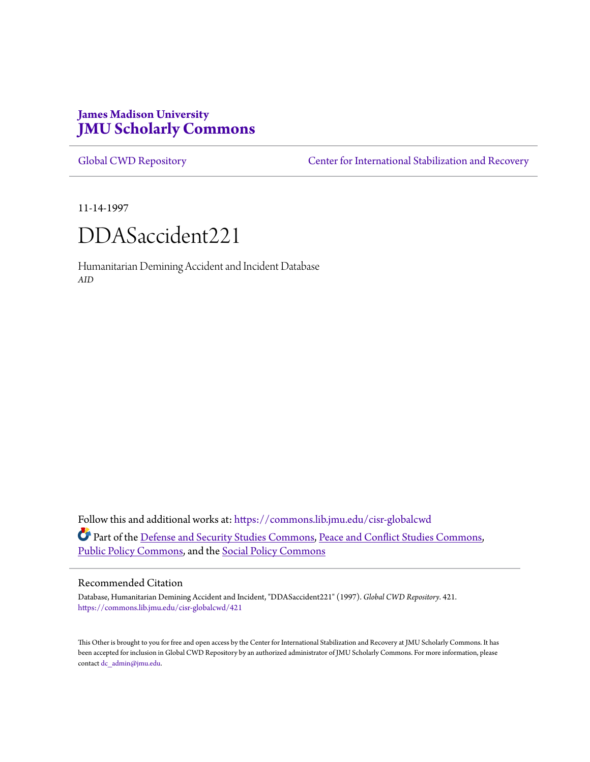# **James Madison University [JMU Scholarly Commons](https://commons.lib.jmu.edu?utm_source=commons.lib.jmu.edu%2Fcisr-globalcwd%2F421&utm_medium=PDF&utm_campaign=PDFCoverPages)**

[Global CWD Repository](https://commons.lib.jmu.edu/cisr-globalcwd?utm_source=commons.lib.jmu.edu%2Fcisr-globalcwd%2F421&utm_medium=PDF&utm_campaign=PDFCoverPages) **[Center for International Stabilization and Recovery](https://commons.lib.jmu.edu/cisr?utm_source=commons.lib.jmu.edu%2Fcisr-globalcwd%2F421&utm_medium=PDF&utm_campaign=PDFCoverPages)** 

11-14-1997



Humanitarian Demining Accident and Incident Database *AID*

Follow this and additional works at: [https://commons.lib.jmu.edu/cisr-globalcwd](https://commons.lib.jmu.edu/cisr-globalcwd?utm_source=commons.lib.jmu.edu%2Fcisr-globalcwd%2F421&utm_medium=PDF&utm_campaign=PDFCoverPages) Part of the [Defense and Security Studies Commons](http://network.bepress.com/hgg/discipline/394?utm_source=commons.lib.jmu.edu%2Fcisr-globalcwd%2F421&utm_medium=PDF&utm_campaign=PDFCoverPages), [Peace and Conflict Studies Commons](http://network.bepress.com/hgg/discipline/397?utm_source=commons.lib.jmu.edu%2Fcisr-globalcwd%2F421&utm_medium=PDF&utm_campaign=PDFCoverPages), [Public Policy Commons,](http://network.bepress.com/hgg/discipline/400?utm_source=commons.lib.jmu.edu%2Fcisr-globalcwd%2F421&utm_medium=PDF&utm_campaign=PDFCoverPages) and the [Social Policy Commons](http://network.bepress.com/hgg/discipline/1030?utm_source=commons.lib.jmu.edu%2Fcisr-globalcwd%2F421&utm_medium=PDF&utm_campaign=PDFCoverPages)

#### Recommended Citation

Database, Humanitarian Demining Accident and Incident, "DDASaccident221" (1997). *Global CWD Repository*. 421. [https://commons.lib.jmu.edu/cisr-globalcwd/421](https://commons.lib.jmu.edu/cisr-globalcwd/421?utm_source=commons.lib.jmu.edu%2Fcisr-globalcwd%2F421&utm_medium=PDF&utm_campaign=PDFCoverPages)

This Other is brought to you for free and open access by the Center for International Stabilization and Recovery at JMU Scholarly Commons. It has been accepted for inclusion in Global CWD Repository by an authorized administrator of JMU Scholarly Commons. For more information, please contact [dc\\_admin@jmu.edu.](mailto:dc_admin@jmu.edu)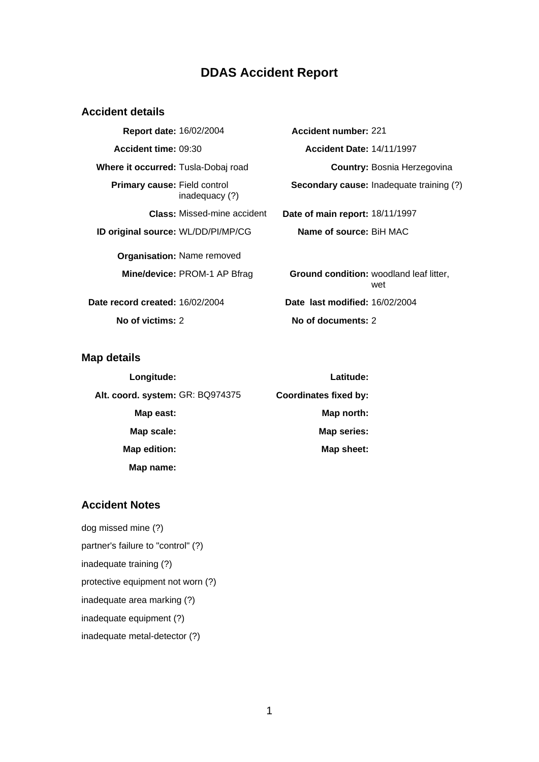# **DDAS Accident Report**

## **Accident details**

| Report date: 16/02/2004                    |                                    | Accio   |
|--------------------------------------------|------------------------------------|---------|
| Accident time: 09:30                       |                                    | A       |
| <b>Where it occurred:</b> Tusla-Dobaj road |                                    |         |
| <b>Primary cause: Field control</b>        | inadequacy (?)                     | Seco    |
|                                            | <b>Class:</b> Missed-mine accident | Date of |
| ID original source: WL/DD/PI/MP/CG         |                                    | Nar     |
|                                            | <b>Organisation:</b> Name removed  |         |
|                                            | Mine/device: PROM-1 AP Bfrag       | Grou    |
| Date record created: 16/02/2004            |                                    | Date I  |

**dent number:** 221 **Accident time:** 09:30 **Accident Date:** 14/11/1997 **Country: Bosnia Herzegovina Secondary cause:** Inadequate training (?) **Class:** Missed-mine accident **Date of main report:** 18/11/1997 **ID original source:** BiH MAC

**nd condition:** woodland leaf litter, wet **Past modified: 16/02/2004 No of victims:** 2 **No of documents:** 2

## **Map details**

| Longitude:                       | Latitude:                    |
|----------------------------------|------------------------------|
| Alt. coord. system: GR: BQ974375 | <b>Coordinates fixed by:</b> |
| Map east:                        | Map north:                   |
| Map scale:                       | <b>Map series:</b>           |
| Map edition:                     | Map sheet:                   |
| Map name:                        |                              |

## **Accident Notes**

dog missed mine (?) partner's failure to "control" (?) inadequate training (?) protective equipment not worn (?) inadequate area marking (?) inadequate equipment (?) inadequate metal-detector (?)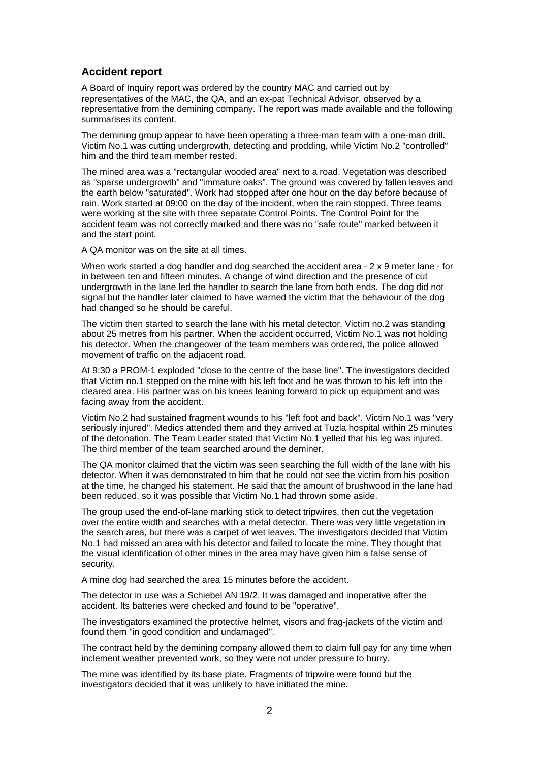## **Accident report**

A Board of Inquiry report was ordered by the country MAC and carried out by representatives of the MAC, the QA, and an ex-pat Technical Advisor, observed by a representative from the demining company. The report was made available and the following summarises its content.

The demining group appear to have been operating a three-man team with a one-man drill. Victim No.1 was cutting undergrowth, detecting and prodding, while Victim No.2 "controlled" him and the third team member rested.

The mined area was a "rectangular wooded area" next to a road. Vegetation was described as "sparse undergrowth" and "immature oaks". The ground was covered by fallen leaves and the earth below "saturated". Work had stopped after one hour on the day before because of rain. Work started at 09:00 on the day of the incident, when the rain stopped. Three teams were working at the site with three separate Control Points. The Control Point for the accident team was not correctly marked and there was no "safe route" marked between it and the start point.

A QA monitor was on the site at all times.

When work started a dog handler and dog searched the accident area - 2 x 9 meter lane - for in between ten and fifteen minutes. A change of wind direction and the presence of cut undergrowth in the lane led the handler to search the lane from both ends. The dog did not signal but the handler later claimed to have warned the victim that the behaviour of the dog had changed so he should be careful.

The victim then started to search the lane with his metal detector. Victim no.2 was standing about 25 metres from his partner. When the accident occurred, Victim No.1 was not holding his detector. When the changeover of the team members was ordered, the police allowed movement of traffic on the adjacent road.

At 9:30 a PROM-1 exploded "close to the centre of the base line". The investigators decided that Victim no.1 stepped on the mine with his left foot and he was thrown to his left into the cleared area. His partner was on his knees leaning forward to pick up equipment and was facing away from the accident.

Victim No.2 had sustained fragment wounds to his "left foot and back". Victim No.1 was "very seriously injured". Medics attended them and they arrived at Tuzla hospital within 25 minutes of the detonation. The Team Leader stated that Victim No.1 yelled that his leg was injured. The third member of the team searched around the deminer.

The QA monitor claimed that the victim was seen searching the full width of the lane with his detector. When it was demonstrated to him that he could not see the victim from his position at the time, he changed his statement. He said that the amount of brushwood in the lane had been reduced, so it was possible that Victim No.1 had thrown some aside.

The group used the end-of-lane marking stick to detect tripwires, then cut the vegetation over the entire width and searches with a metal detector. There was very little vegetation in the search area, but there was a carpet of wet leaves. The investigators decided that Victim No.1 had missed an area with his detector and failed to locate the mine. They thought that the visual identification of other mines in the area may have given him a false sense of security.

A mine dog had searched the area 15 minutes before the accident.

The detector in use was a Schiebel AN 19/2. It was damaged and inoperative after the accident. Its batteries were checked and found to be "operative".

The investigators examined the protective helmet, visors and frag-jackets of the victim and found them "in good condition and undamaged".

The contract held by the demining company allowed them to claim full pay for any time when inclement weather prevented work, so they were not under pressure to hurry.

The mine was identified by its base plate. Fragments of tripwire were found but the investigators decided that it was unlikely to have initiated the mine.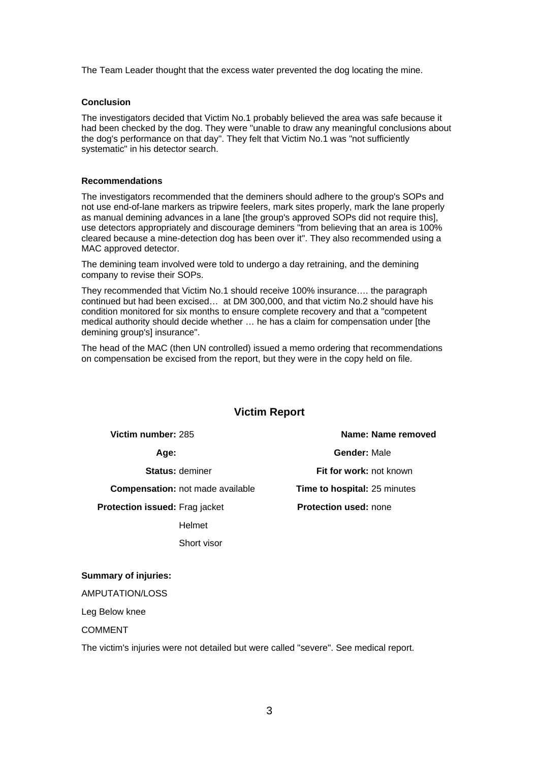The Team Leader thought that the excess water prevented the dog locating the mine.

#### **Conclusion**

The investigators decided that Victim No.1 probably believed the area was safe because it had been checked by the dog. They were "unable to draw any meaningful conclusions about the dog's performance on that day". They felt that Victim No.1 was "not sufficiently systematic" in his detector search.

#### **Recommendations**

The investigators recommended that the deminers should adhere to the group's SOPs and not use end-of-lane markers as tripwire feelers, mark sites properly, mark the lane properly as manual demining advances in a lane [the group's approved SOPs did not require this], use detectors appropriately and discourage deminers "from believing that an area is 100% cleared because a mine-detection dog has been over it". They also recommended using a MAC approved detector.

The demining team involved were told to undergo a day retraining, and the demining company to revise their SOPs.

They recommended that Victim No.1 should receive 100% insurance…. the paragraph continued but had been excised… at DM 300,000, and that victim No.2 should have his condition monitored for six months to ensure complete recovery and that a "competent medical authority should decide whether … he has a claim for compensation under [the demining group's] insurance".

The head of the MAC (then UN controlled) issued a memo ordering that recommendations on compensation be excised from the report, but they were in the copy held on file.

## **Victim Report**

**Victim number:** 285 **Name: Name removed**

**Compensation:** not made available **Time to hospital:** 25 minutes

**Protection issued:** Frag jacket

Helmet

Short visor

**Age: Gender:** Male **Status:** deminer **Fit for work:** not known

**Protection used:** none

**Summary of injuries:**

AMPUTATION/LOSS

Leg Below knee

COMMENT

The victim's injuries were not detailed but were called "severe". See medical report.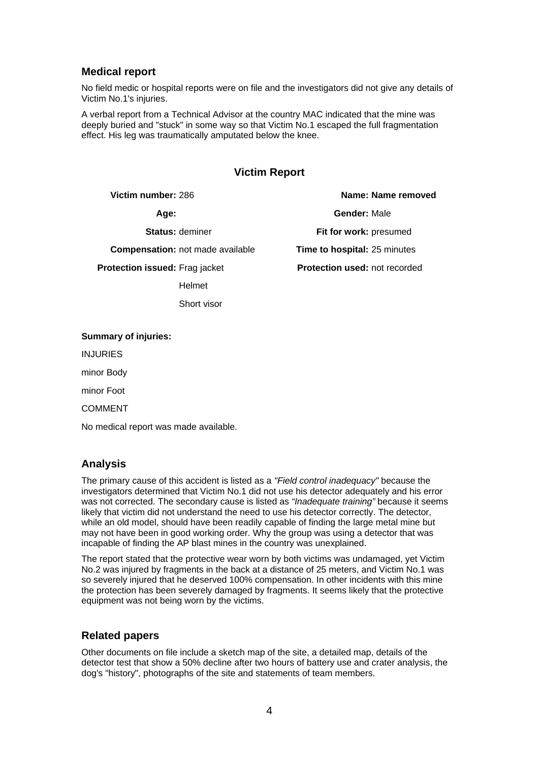## **Medical report**

No field medic or hospital reports were on file and the investigators did not give any details of Victim No.1's injuries.

A verbal report from a Technical Advisor at the country MAC indicated that the mine was deeply buried and "stuck" in some way so that Victim No.1 escaped the full fragmentation effect. His leg was traumatically amputated below the knee.

## **Victim Report**

**Victim number:** 286 **Name: Name removed Age: Gender:** Male **Status:** deminer **Fit for work:** presumed **Compensation:** not made available **Time to hospital:** 25 minutes **Protection issued:** Frag jacket Helmet **Protection used:** not recorded

#### **Summary of injuries:**

INJURIES

minor Body

minor Foot

COMMENT

No medical report was made available.

Short visor

## **Analysis**

The primary cause of this accident is listed as a *"Field control inadequacy"* because the investigators determined that Victim No.1 did not use his detector adequately and his error was not corrected. The secondary cause is listed as *"Inadequate training"* because it seems likely that victim did not understand the need to use his detector correctly. The detector, while an old model, should have been readily capable of finding the large metal mine but may not have been in good working order. Why the group was using a detector that was incapable of finding the AP blast mines in the country was unexplained.

The report stated that the protective wear worn by both victims was undamaged, yet Victim No.2 was injured by fragments in the back at a distance of 25 meters, and Victim No.1 was so severely injured that he deserved 100% compensation. In other incidents with this mine the protection has been severely damaged by fragments. It seems likely that the protective equipment was not being worn by the victims.

### **Related papers**

Other documents on file include a sketch map of the site, a detailed map, details of the detector test that show a 50% decline after two hours of battery use and crater analysis, the dog's "history", photographs of the site and statements of team members.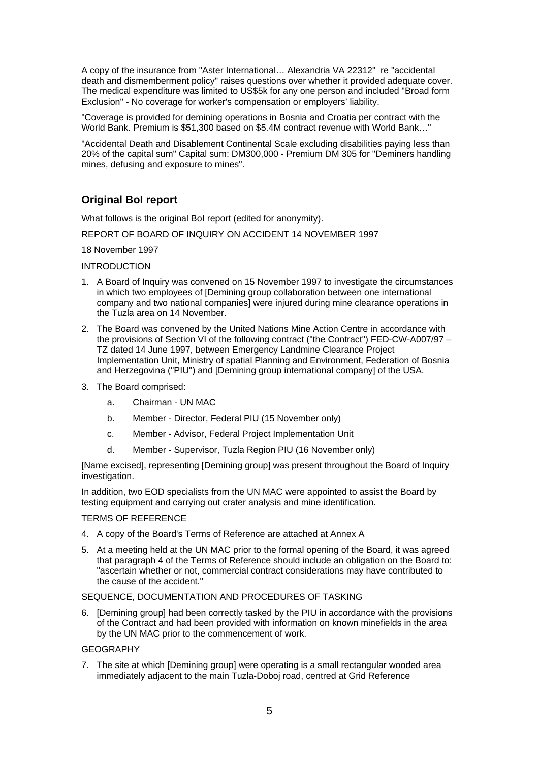A copy of the insurance from "Aster International… Alexandria VA 22312" re "accidental death and dismemberment policy" raises questions over whether it provided adequate cover. The medical expenditure was limited to US\$5k for any one person and included "Broad form Exclusion" - No coverage for worker's compensation or employers' liability.

"Coverage is provided for demining operations in Bosnia and Croatia per contract with the World Bank. Premium is \$51,300 based on \$5.4M contract revenue with World Bank…"

"Accidental Death and Disablement Continental Scale excluding disabilities paying less than 20% of the capital sum" Capital sum: DM300,000 - Premium DM 305 for "Deminers handling mines, defusing and exposure to mines".

# **Original BoI report**

What follows is the original BoI report (edited for anonymity).

REPORT OF BOARD OF INQUIRY ON ACCIDENT 14 NOVEMBER 1997

18 November 1997

INTRODUCTION

- 1. A Board of Inquiry was convened on 15 November 1997 to investigate the circumstances in which two employees of [Demining group collaboration between one international company and two national companies] were injured during mine clearance operations in the Tuzla area on 14 November.
- 2. The Board was convened by the United Nations Mine Action Centre in accordance with the provisions of Section VI of the following contract ("the Contract") FED-CW-A007/97 – TZ dated 14 June 1997, between Emergency Landmine Clearance Project Implementation Unit, Ministry of spatial Planning and Environment, Federation of Bosnia and Herzegovina ("PIU") and [Demining group international company] of the USA.
- 3. The Board comprised:
	- a. Chairman UN MAC
	- b. Member Director, Federal PIU (15 November only)
	- c. Member Advisor, Federal Project Implementation Unit
	- d. Member Supervisor, Tuzla Region PIU (16 November only)

[Name excised], representing [Demining group] was present throughout the Board of Inquiry investigation.

In addition, two EOD specialists from the UN MAC were appointed to assist the Board by testing equipment and carrying out crater analysis and mine identification.

#### TERMS OF REFERENCE

- 4. A copy of the Board's Terms of Reference are attached at Annex A
- 5. At a meeting held at the UN MAC prior to the formal opening of the Board, it was agreed that paragraph 4 of the Terms of Reference should include an obligation on the Board to: "ascertain whether or not, commercial contract considerations may have contributed to the cause of the accident."

#### SEQUENCE, DOCUMENTATION AND PROCEDURES OF TASKING

6. [Demining group] had been correctly tasked by the PIU in accordance with the provisions of the Contract and had been provided with information on known minefields in the area by the UN MAC prior to the commencement of work.

#### GEOGRAPHY

7. The site at which [Demining group] were operating is a small rectangular wooded area immediately adjacent to the main Tuzla-Doboj road, centred at Grid Reference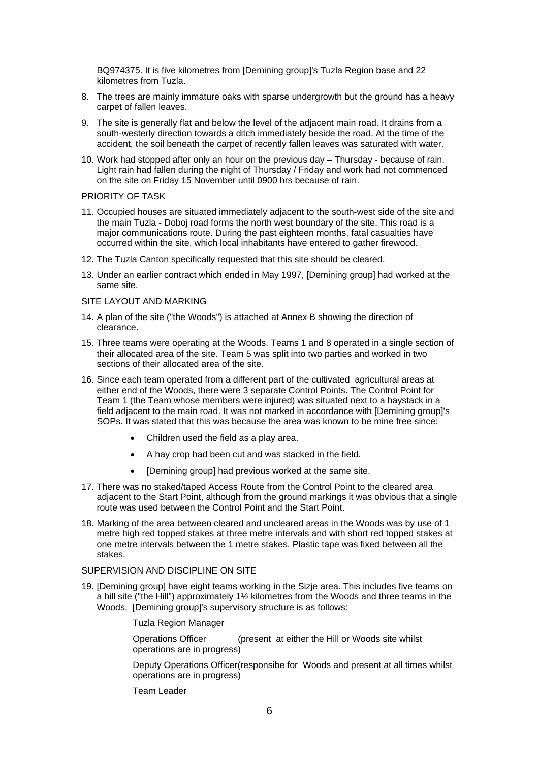BQ974375. It is five kilometres from [Demining group]'s Tuzla Region base and 22 kilometres from Tuzla.

- 8. The trees are mainly immature oaks with sparse undergrowth but the ground has a heavy carpet of fallen leaves.
- 9. The site is generally flat and below the level of the adjacent main road. It drains from a south-westerly direction towards a ditch immediately beside the road. At the time of the accident, the soil beneath the carpet of recently fallen leaves was saturated with water.
- 10. Work had stopped after only an hour on the previous day Thursday because of rain. Light rain had fallen during the night of Thursday / Friday and work had not commenced on the site on Friday 15 November until 0900 hrs because of rain.

#### PRIORITY OF TASK

- 11. Occupied houses are situated immediately adjacent to the south-west side of the site and the main Tuzla - Doboj road forms the north west boundary of the site. This road is a major communications route. During the past eighteen months, fatal casualties have occurred within the site, which local inhabitants have entered to gather firewood.
- 12. The Tuzla Canton specifically requested that this site should be cleared.
- 13. Under an earlier contract which ended in May 1997, [Demining group] had worked at the same site.

#### SITE LAYOUT AND MARKING

- 14. A plan of the site ("the Woods") is attached at Annex B showing the direction of clearance.
- 15. Three teams were operating at the Woods. Teams 1 and 8 operated in a single section of their allocated area of the site. Team 5 was split into two parties and worked in two sections of their allocated area of the site.
- 16. Since each team operated from a different part of the cultivated agricultural areas at either end of the Woods, there were 3 separate Control Points. The Control Point for Team 1 (the Team whose members were injured) was situated next to a haystack in a field adjacent to the main road. It was not marked in accordance with [Demining group]'s SOPs. It was stated that this was because the area was known to be mine free since:
	- Children used the field as a play area.
	- A hay crop had been cut and was stacked in the field.
	- [Demining group] had previous worked at the same site.
- 17. There was no staked/taped Access Route from the Control Point to the cleared area adjacent to the Start Point, although from the ground markings it was obvious that a single route was used between the Control Point and the Start Point.
- 18. Marking of the area between cleared and uncleared areas in the Woods was by use of 1 metre high red topped stakes at three metre intervals and with short red topped stakes at one metre intervals between the 1 metre stakes. Plastic tape was fixed between all the stakes.

## SUPERVISION AND DISCIPLINE ON SITE

19. [Demining group] have eight teams working in the Sizje area. This includes five teams on a hill site ("the Hill") approximately 1½ kilometres from the Woods and three teams in the Woods. [Demining group]'s supervisory structure is as follows:

#### Tuzla Region Manager

Operations Officer (present at either the Hill or Woods site whilst operations are in progress)

Deputy Operations Officer(responsibe for Woods and present at all times whilst operations are in progress)

Team Leader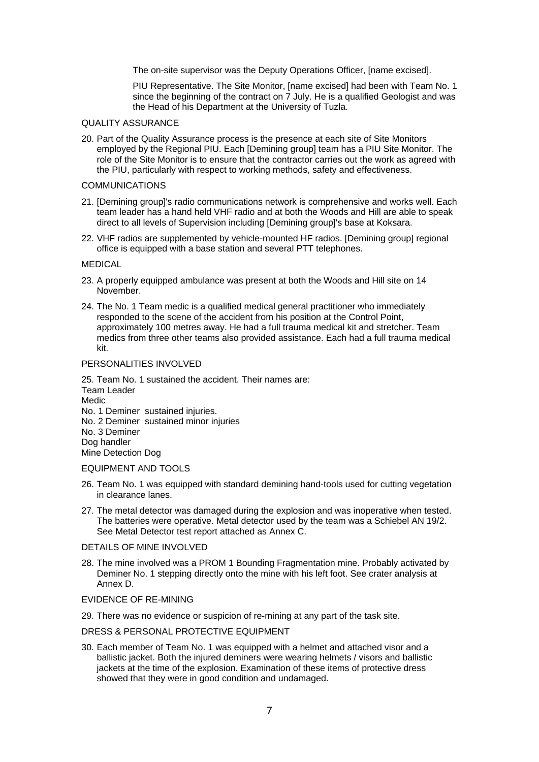The on-site supervisor was the Deputy Operations Officer, [name excised].

PIU Representative. The Site Monitor, [name excised] had been with Team No. 1 since the beginning of the contract on 7 July. He is a qualified Geologist and was the Head of his Department at the University of Tuzla.

#### QUALITY ASSURANCE

20. Part of the Quality Assurance process is the presence at each site of Site Monitors employed by the Regional PIU. Each [Demining group] team has a PIU Site Monitor. The role of the Site Monitor is to ensure that the contractor carries out the work as agreed with the PIU, particularly with respect to working methods, safety and effectiveness.

#### COMMUNICATIONS

- 21. [Demining group]'s radio communications network is comprehensive and works well. Each team leader has a hand held VHF radio and at both the Woods and Hill are able to speak direct to all levels of Supervision including [Demining group]'s base at Koksara.
- 22. VHF radios are supplemented by vehicle-mounted HF radios. [Demining group] regional office is equipped with a base station and several PTT telephones.

#### **MEDICAL**

- 23. A properly equipped ambulance was present at both the Woods and Hill site on 14 November.
- 24. The No. 1 Team medic is a qualified medical general practitioner who immediately responded to the scene of the accident from his position at the Control Point, approximately 100 metres away. He had a full trauma medical kit and stretcher. Team medics from three other teams also provided assistance. Each had a full trauma medical kit.

#### PERSONALITIES INVOLVED

25. Team No. 1 sustained the accident. Their names are: Team Leader **Medic** No. 1 Deminer sustained injuries. No. 2 Deminer sustained minor injuries No. 3 Deminer Dog handler Mine Detection Dog

#### EQUIPMENT AND TOOLS

- 26. Team No. 1 was equipped with standard demining hand-tools used for cutting vegetation in clearance lanes.
- 27. The metal detector was damaged during the explosion and was inoperative when tested. The batteries were operative. Metal detector used by the team was a Schiebel AN 19/2. See Metal Detector test report attached as Annex C.

#### DETAILS OF MINE INVOLVED

28. The mine involved was a PROM 1 Bounding Fragmentation mine. Probably activated by Deminer No. 1 stepping directly onto the mine with his left foot. See crater analysis at Annex D.

#### EVIDENCE OF RE-MINING

29. There was no evidence or suspicion of re-mining at any part of the task site.

#### DRESS & PERSONAL PROTECTIVE EQUIPMENT

30. Each member of Team No. 1 was equipped with a helmet and attached visor and a ballistic jacket. Both the injured deminers were wearing helmets / visors and ballistic jackets at the time of the explosion. Examination of these items of protective dress showed that they were in good condition and undamaged.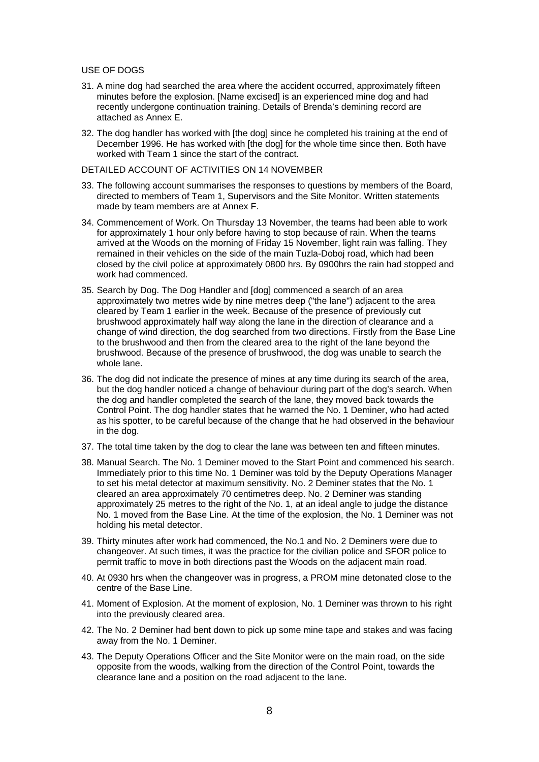#### USE OF DOGS

- 31. A mine dog had searched the area where the accident occurred, approximately fifteen minutes before the explosion. [Name excised] is an experienced mine dog and had recently undergone continuation training. Details of Brenda's demining record are attached as Annex E.
- 32. The dog handler has worked with [the dog] since he completed his training at the end of December 1996. He has worked with [the dog] for the whole time since then. Both have worked with Team 1 since the start of the contract.

DETAILED ACCOUNT OF ACTIVITIES ON 14 NOVEMBER

- 33. The following account summarises the responses to questions by members of the Board, directed to members of Team 1, Supervisors and the Site Monitor. Written statements made by team members are at Annex F.
- 34. Commencement of Work. On Thursday 13 November, the teams had been able to work for approximately 1 hour only before having to stop because of rain. When the teams arrived at the Woods on the morning of Friday 15 November, light rain was falling. They remained in their vehicles on the side of the main Tuzla-Doboj road, which had been closed by the civil police at approximately 0800 hrs. By 0900hrs the rain had stopped and work had commenced.
- 35. Search by Dog. The Dog Handler and [dog] commenced a search of an area approximately two metres wide by nine metres deep ("the lane") adjacent to the area cleared by Team 1 earlier in the week. Because of the presence of previously cut brushwood approximately half way along the lane in the direction of clearance and a change of wind direction, the dog searched from two directions. Firstly from the Base Line to the brushwood and then from the cleared area to the right of the lane beyond the brushwood. Because of the presence of brushwood, the dog was unable to search the whole lane.
- 36. The dog did not indicate the presence of mines at any time during its search of the area, but the dog handler noticed a change of behaviour during part of the dog's search. When the dog and handler completed the search of the lane, they moved back towards the Control Point. The dog handler states that he warned the No. 1 Deminer, who had acted as his spotter, to be careful because of the change that he had observed in the behaviour in the dog.
- 37. The total time taken by the dog to clear the lane was between ten and fifteen minutes.
- 38. Manual Search. The No. 1 Deminer moved to the Start Point and commenced his search. Immediately prior to this time No. 1 Deminer was told by the Deputy Operations Manager to set his metal detector at maximum sensitivity. No. 2 Deminer states that the No. 1 cleared an area approximately 70 centimetres deep. No. 2 Deminer was standing approximately 25 metres to the right of the No. 1, at an ideal angle to judge the distance No. 1 moved from the Base Line. At the time of the explosion, the No. 1 Deminer was not holding his metal detector.
- 39. Thirty minutes after work had commenced, the No.1 and No. 2 Deminers were due to changeover. At such times, it was the practice for the civilian police and SFOR police to permit traffic to move in both directions past the Woods on the adjacent main road.
- 40. At 0930 hrs when the changeover was in progress, a PROM mine detonated close to the centre of the Base Line.
- 41. Moment of Explosion. At the moment of explosion, No. 1 Deminer was thrown to his right into the previously cleared area.
- 42. The No. 2 Deminer had bent down to pick up some mine tape and stakes and was facing away from the No. 1 Deminer.
- 43. The Deputy Operations Officer and the Site Monitor were on the main road, on the side opposite from the woods, walking from the direction of the Control Point, towards the clearance lane and a position on the road adjacent to the lane.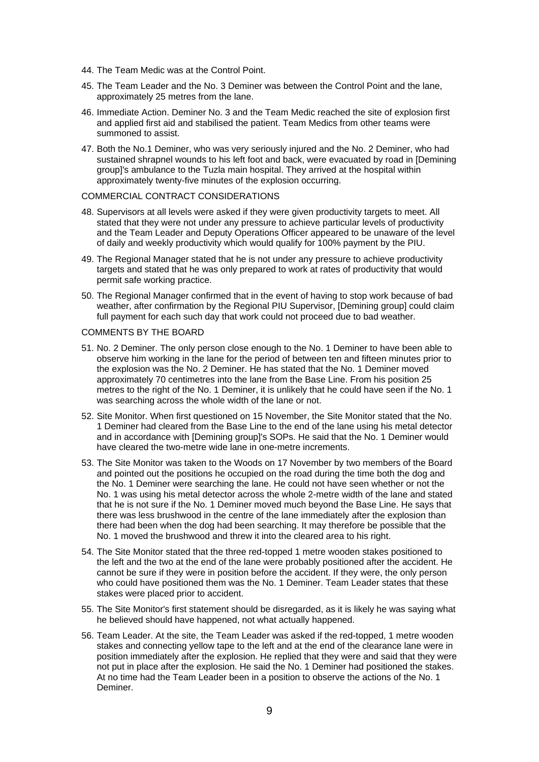- 44. The Team Medic was at the Control Point.
- 45. The Team Leader and the No. 3 Deminer was between the Control Point and the lane, approximately 25 metres from the lane.
- 46. Immediate Action. Deminer No. 3 and the Team Medic reached the site of explosion first and applied first aid and stabilised the patient. Team Medics from other teams were summoned to assist.
- 47. Both the No.1 Deminer, who was very seriously injured and the No. 2 Deminer, who had sustained shrapnel wounds to his left foot and back, were evacuated by road in [Demining group]'s ambulance to the Tuzla main hospital. They arrived at the hospital within approximately twenty-five minutes of the explosion occurring.

#### COMMERCIAL CONTRACT CONSIDERATIONS

- 48. Supervisors at all levels were asked if they were given productivity targets to meet. All stated that they were not under any pressure to achieve particular levels of productivity and the Team Leader and Deputy Operations Officer appeared to be unaware of the level of daily and weekly productivity which would qualify for 100% payment by the PIU.
- 49. The Regional Manager stated that he is not under any pressure to achieve productivity targets and stated that he was only prepared to work at rates of productivity that would permit safe working practice.
- 50. The Regional Manager confirmed that in the event of having to stop work because of bad weather, after confirmation by the Regional PIU Supervisor, [Demining group] could claim full payment for each such day that work could not proceed due to bad weather.

#### COMMENTS BY THE BOARD

- 51. No. 2 Deminer. The only person close enough to the No. 1 Deminer to have been able to observe him working in the lane for the period of between ten and fifteen minutes prior to the explosion was the No. 2 Deminer. He has stated that the No. 1 Deminer moved approximately 70 centimetres into the lane from the Base Line. From his position 25 metres to the right of the No. 1 Deminer, it is unlikely that he could have seen if the No. 1 was searching across the whole width of the lane or not.
- 52. Site Monitor. When first questioned on 15 November, the Site Monitor stated that the No. 1 Deminer had cleared from the Base Line to the end of the lane using his metal detector and in accordance with [Demining group]'s SOPs. He said that the No. 1 Deminer would have cleared the two-metre wide lane in one-metre increments.
- 53. The Site Monitor was taken to the Woods on 17 November by two members of the Board and pointed out the positions he occupied on the road during the time both the dog and the No. 1 Deminer were searching the lane. He could not have seen whether or not the No. 1 was using his metal detector across the whole 2-metre width of the lane and stated that he is not sure if the No. 1 Deminer moved much beyond the Base Line. He says that there was less brushwood in the centre of the lane immediately after the explosion than there had been when the dog had been searching. It may therefore be possible that the No. 1 moved the brushwood and threw it into the cleared area to his right.
- 54. The Site Monitor stated that the three red-topped 1 metre wooden stakes positioned to the left and the two at the end of the lane were probably positioned after the accident. He cannot be sure if they were in position before the accident. If they were, the only person who could have positioned them was the No. 1 Deminer. Team Leader states that these stakes were placed prior to accident.
- 55. The Site Monitor's first statement should be disregarded, as it is likely he was saying what he believed should have happened, not what actually happened.
- 56. Team Leader. At the site, the Team Leader was asked if the red-topped, 1 metre wooden stakes and connecting yellow tape to the left and at the end of the clearance lane were in position immediately after the explosion. He replied that they were and said that they were not put in place after the explosion. He said the No. 1 Deminer had positioned the stakes. At no time had the Team Leader been in a position to observe the actions of the No. 1 Deminer.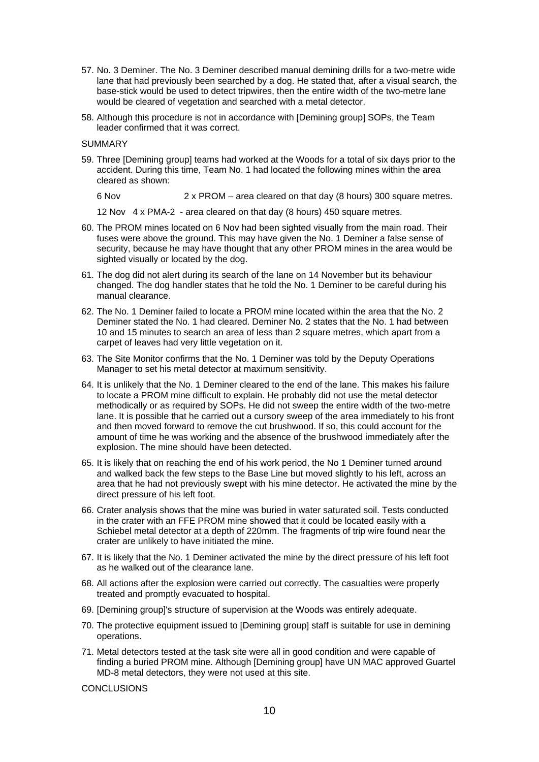- 57. No. 3 Deminer. The No. 3 Deminer described manual demining drills for a two-metre wide lane that had previously been searched by a dog. He stated that, after a visual search, the base-stick would be used to detect tripwires, then the entire width of the two-metre lane would be cleared of vegetation and searched with a metal detector.
- 58. Although this procedure is not in accordance with [Demining group] SOPs, the Team leader confirmed that it was correct.

SUMMARY

59. Three [Demining group] teams had worked at the Woods for a total of six days prior to the accident. During this time, Team No. 1 had located the following mines within the area cleared as shown:

6 Nov 2 x PROM – area cleared on that day (8 hours) 300 square metres.

12 Nov 4 x PMA-2 - area cleared on that day (8 hours) 450 square metres.

- 60. The PROM mines located on 6 Nov had been sighted visually from the main road. Their fuses were above the ground. This may have given the No. 1 Deminer a false sense of security, because he may have thought that any other PROM mines in the area would be sighted visually or located by the dog.
- 61. The dog did not alert during its search of the lane on 14 November but its behaviour changed. The dog handler states that he told the No. 1 Deminer to be careful during his manual clearance.
- 62. The No. 1 Deminer failed to locate a PROM mine located within the area that the No. 2 Deminer stated the No. 1 had cleared. Deminer No. 2 states that the No. 1 had between 10 and 15 minutes to search an area of less than 2 square metres, which apart from a carpet of leaves had very little vegetation on it.
- 63. The Site Monitor confirms that the No. 1 Deminer was told by the Deputy Operations Manager to set his metal detector at maximum sensitivity.
- 64. It is unlikely that the No. 1 Deminer cleared to the end of the lane. This makes his failure to locate a PROM mine difficult to explain. He probably did not use the metal detector methodically or as required by SOPs. He did not sweep the entire width of the two-metre lane. It is possible that he carried out a cursory sweep of the area immediately to his front and then moved forward to remove the cut brushwood. If so, this could account for the amount of time he was working and the absence of the brushwood immediately after the explosion. The mine should have been detected.
- 65. It is likely that on reaching the end of his work period, the No 1 Deminer turned around and walked back the few steps to the Base Line but moved slightly to his left, across an area that he had not previously swept with his mine detector. He activated the mine by the direct pressure of his left foot.
- 66. Crater analysis shows that the mine was buried in water saturated soil. Tests conducted in the crater with an FFE PROM mine showed that it could be located easily with a Schiebel metal detector at a depth of 220mm. The fragments of trip wire found near the crater are unlikely to have initiated the mine.
- 67. It is likely that the No. 1 Deminer activated the mine by the direct pressure of his left foot as he walked out of the clearance lane.
- 68. All actions after the explosion were carried out correctly. The casualties were properly treated and promptly evacuated to hospital.
- 69. [Demining group]'s structure of supervision at the Woods was entirely adequate.
- 70. The protective equipment issued to [Demining group] staff is suitable for use in demining operations.
- 71. Metal detectors tested at the task site were all in good condition and were capable of finding a buried PROM mine. Although [Demining group] have UN MAC approved Guartel MD-8 metal detectors, they were not used at this site.

**CONCLUSIONS**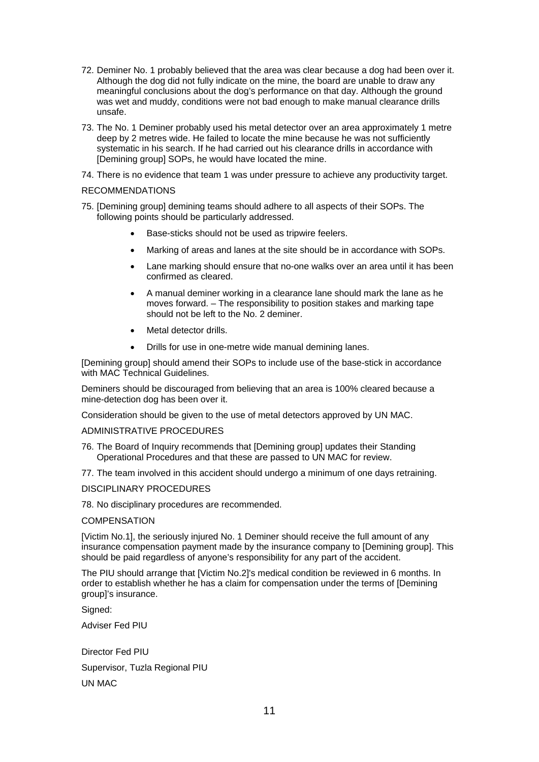- 72. Deminer No. 1 probably believed that the area was clear because a dog had been over it. Although the dog did not fully indicate on the mine, the board are unable to draw any meaningful conclusions about the dog's performance on that day. Although the ground was wet and muddy, conditions were not bad enough to make manual clearance drills unsafe.
- 73. The No. 1 Deminer probably used his metal detector over an area approximately 1 metre deep by 2 metres wide. He failed to locate the mine because he was not sufficiently systematic in his search. If he had carried out his clearance drills in accordance with [Demining group] SOPs, he would have located the mine.
- 74. There is no evidence that team 1 was under pressure to achieve any productivity target.

#### RECOMMENDATIONS

- 75. [Demining group] demining teams should adhere to all aspects of their SOPs. The following points should be particularly addressed.
	- Base-sticks should not be used as tripwire feelers.
	- Marking of areas and lanes at the site should be in accordance with SOPs.
	- Lane marking should ensure that no-one walks over an area until it has been confirmed as cleared.
	- A manual deminer working in a clearance lane should mark the lane as he moves forward. – The responsibility to position stakes and marking tape should not be left to the No. 2 deminer.
	- Metal detector drills.
	- Drills for use in one-metre wide manual demining lanes.

[Demining group] should amend their SOPs to include use of the base-stick in accordance with MAC Technical Guidelines.

Deminers should be discouraged from believing that an area is 100% cleared because a mine-detection dog has been over it.

Consideration should be given to the use of metal detectors approved by UN MAC.

#### ADMINISTRATIVE PROCEDURES

- 76. The Board of Inquiry recommends that [Demining group] updates their Standing Operational Procedures and that these are passed to UN MAC for review.
- 77. The team involved in this accident should undergo a minimum of one days retraining.

#### DISCIPLINARY PROCEDURES

78. No disciplinary procedures are recommended.

### **COMPENSATION**

[Victim No.1], the seriously injured No. 1 Deminer should receive the full amount of any insurance compensation payment made by the insurance company to [Demining group]. This should be paid regardless of anyone's responsibility for any part of the accident.

The PIU should arrange that [Victim No.2]'s medical condition be reviewed in 6 months. In order to establish whether he has a claim for compensation under the terms of [Demining group]'s insurance.

Signed:

Adviser Fed PIU

Director Fed PIU Supervisor, Tuzla Regional PIU UN MAC